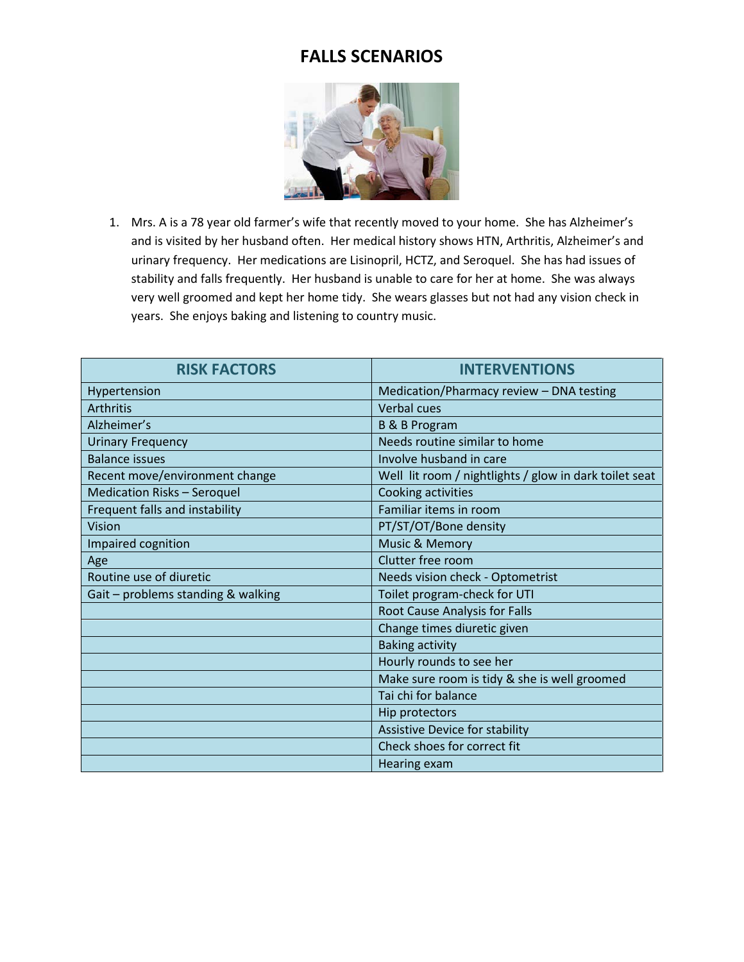

1. Mrs. A is a 78 year old farmer's wife that recently moved to your home. She has Alzheimer's and is visited by her husband often. Her medical history shows HTN, Arthritis, Alzheimer's and urinary frequency. Her medications are Lisinopril, HCTZ, and Seroquel. She has had issues of stability and falls frequently. Her husband is unable to care for her at home. She was always very well groomed and kept her home tidy. She wears glasses but not had any vision check in years. She enjoys baking and listening to country music.

| <b>RISK FACTORS</b>                | <b>INTERVENTIONS</b>                                   |
|------------------------------------|--------------------------------------------------------|
| Hypertension                       | Medication/Pharmacy review - DNA testing               |
| <b>Arthritis</b>                   | Verbal cues                                            |
| Alzheimer's                        | <b>B &amp; B Program</b>                               |
| <b>Urinary Frequency</b>           | Needs routine similar to home                          |
| <b>Balance issues</b>              | Involve husband in care                                |
| Recent move/environment change     | Well lit room / nightlights / glow in dark toilet seat |
| <b>Medication Risks - Seroquel</b> | Cooking activities                                     |
| Frequent falls and instability     | Familiar items in room                                 |
| Vision                             | PT/ST/OT/Bone density                                  |
| Impaired cognition                 | Music & Memory                                         |
| Age                                | Clutter free room                                      |
| Routine use of diuretic            | Needs vision check - Optometrist                       |
| Gait - problems standing & walking | Toilet program-check for UTI                           |
|                                    | Root Cause Analysis for Falls                          |
|                                    | Change times diuretic given                            |
|                                    | <b>Baking activity</b>                                 |
|                                    | Hourly rounds to see her                               |
|                                    | Make sure room is tidy & she is well groomed           |
|                                    | Tai chi for balance                                    |
|                                    | Hip protectors                                         |
|                                    | Assistive Device for stability                         |
|                                    | Check shoes for correct fit                            |
|                                    | Hearing exam                                           |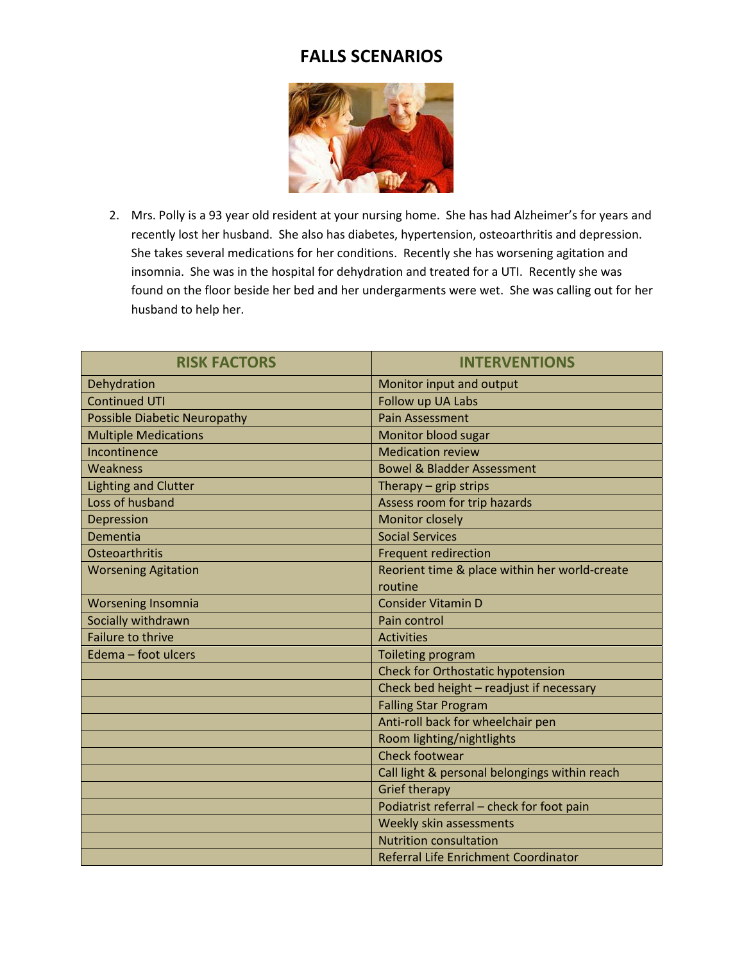

2. Mrs. Polly is a 93 year old resident at your nursing home. She has had Alzheimer's for years and recently lost her husband. She also has diabetes, hypertension, osteoarthritis and depression. She takes several medications for her conditions. Recently she has worsening agitation and insomnia. She was in the hospital for dehydration and treated for a UTI. Recently she was found on the floor beside her bed and her undergarments were wet. She was calling out for her husband to help her.

| <b>RISK FACTORS</b>                 | <b>INTERVENTIONS</b>                          |
|-------------------------------------|-----------------------------------------------|
| Dehydration                         | Monitor input and output                      |
| <b>Continued UTI</b>                | Follow up UA Labs                             |
| <b>Possible Diabetic Neuropathy</b> | <b>Pain Assessment</b>                        |
| <b>Multiple Medications</b>         | Monitor blood sugar                           |
| Incontinence                        | <b>Medication review</b>                      |
| Weakness                            | <b>Bowel &amp; Bladder Assessment</b>         |
| <b>Lighting and Clutter</b>         | Therapy $-$ grip strips                       |
| Loss of husband                     | Assess room for trip hazards                  |
| Depression                          | Monitor closely                               |
| Dementia                            | <b>Social Services</b>                        |
| Osteoarthritis                      | <b>Frequent redirection</b>                   |
| <b>Worsening Agitation</b>          | Reorient time & place within her world-create |
|                                     | routine                                       |
| <b>Worsening Insomnia</b>           | <b>Consider Vitamin D</b>                     |
| Socially withdrawn                  | Pain control                                  |
| <b>Failure to thrive</b>            | <b>Activities</b>                             |
| Edema - foot ulcers                 | Toileting program                             |
|                                     | Check for Orthostatic hypotension             |
|                                     | Check bed height - readjust if necessary      |
|                                     | <b>Falling Star Program</b>                   |
|                                     | Anti-roll back for wheelchair pen             |
|                                     | Room lighting/nightlights                     |
|                                     | <b>Check footwear</b>                         |
|                                     | Call light & personal belongings within reach |
|                                     | <b>Grief therapy</b>                          |
|                                     | Podiatrist referral - check for foot pain     |
|                                     | Weekly skin assessments                       |
|                                     | <b>Nutrition consultation</b>                 |
|                                     | Referral Life Enrichment Coordinator          |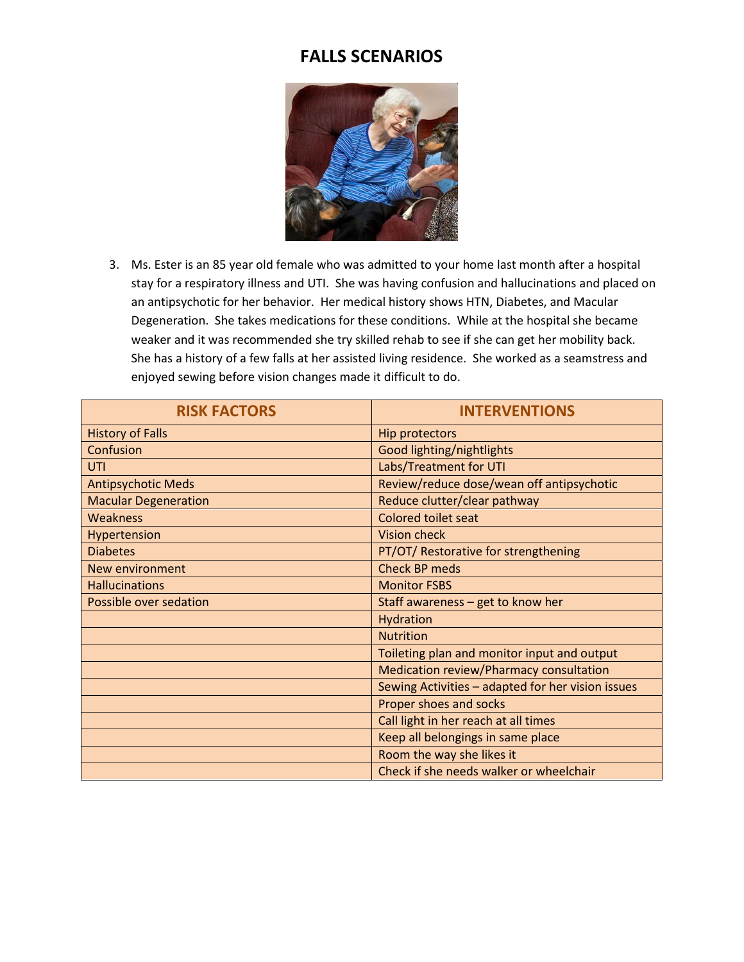

3. Ms. Ester is an 85 year old female who was admitted to your home last month after a hospital stay for a respiratory illness and UTI. She was having confusion and hallucinations and placed on an antipsychotic for her behavior. Her medical history shows HTN, Diabetes, and Macular Degeneration. She takes medications for these conditions. While at the hospital she became weaker and it was recommended she try skilled rehab to see if she can get her mobility back. She has a history of a few falls at her assisted living residence. She worked as a seamstress and enjoyed sewing before vision changes made it difficult to do.

| <b>RISK FACTORS</b>         | <b>INTERVENTIONS</b>                              |
|-----------------------------|---------------------------------------------------|
| <b>History of Falls</b>     | <b>Hip protectors</b>                             |
| Confusion                   | Good lighting/nightlights                         |
| UTI                         | Labs/Treatment for UTI                            |
| <b>Antipsychotic Meds</b>   | Review/reduce dose/wean off antipsychotic         |
| <b>Macular Degeneration</b> | Reduce clutter/clear pathway                      |
| <b>Weakness</b>             | Colored toilet seat                               |
| Hypertension                | <b>Vision check</b>                               |
| <b>Diabetes</b>             | PT/OT/ Restorative for strengthening              |
| <b>New environment</b>      | <b>Check BP meds</b>                              |
| <b>Hallucinations</b>       | <b>Monitor FSBS</b>                               |
| Possible over sedation      | Staff awareness - get to know her                 |
|                             | Hydration                                         |
|                             | <b>Nutrition</b>                                  |
|                             | Toileting plan and monitor input and output       |
|                             | Medication review/Pharmacy consultation           |
|                             | Sewing Activities - adapted for her vision issues |
|                             | Proper shoes and socks                            |
|                             | Call light in her reach at all times              |
|                             | Keep all belongings in same place                 |
|                             | Room the way she likes it                         |
|                             | Check if she needs walker or wheelchair           |